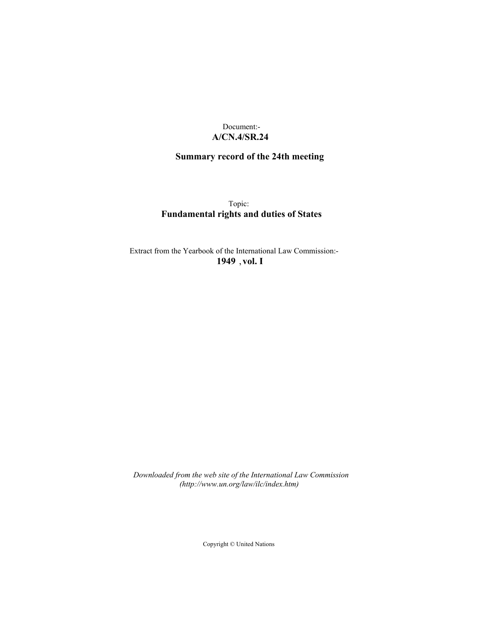# Document:- **A/CN.4/SR.24**

# **Summary record of the 24th meeting**

Topic: **Fundamental rights and duties of States**

Extract from the Yearbook of the International Law Commission:- **1949** ,**vol. I**

*Downloaded from the web site of the International Law Commission (http://www.un.org/law/ilc/index.htm)*

Copyright © United Nations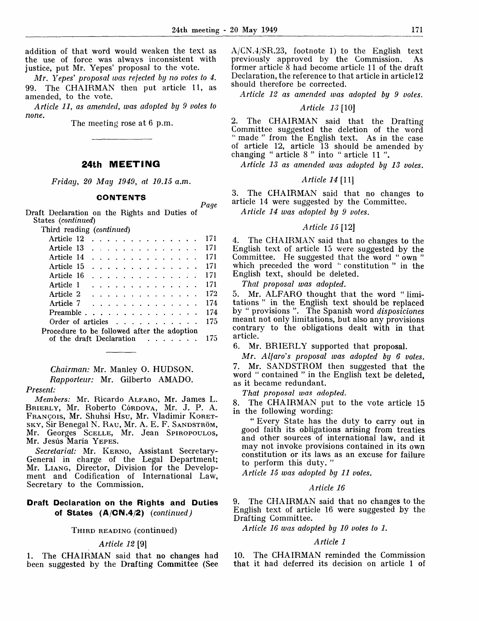*Page*

addition of that word would weaken the text as the use of force was always inconsistent with justice, put Mr. Yepes' proposal to the vote.

*Mr. Yepes' proposal was rejected by no votes to 4.* 99. The CHAIRMAN then put article 11, as amended, to the vote.

*Article 11, as amended, was adopted by 9 votes to none.*

The meeting rose at 6 p.m.

# **24th MEETING**

*Friday, 20 May 1949, at 10.15 a.m.*

### **CONTENTS**

Draft Declaration on the Rights and Duties of States *(continued)*

Third reading *(continued)*

| Article 12                                       |  |  |  |  |                                                                                                                                                               |  |  | 171 |
|--------------------------------------------------|--|--|--|--|---------------------------------------------------------------------------------------------------------------------------------------------------------------|--|--|-----|
| Article 13                                       |  |  |  |  | $\mathbf{r}$ . The state of the state of the state $\mathbf{r}$                                                                                               |  |  | 171 |
| Article 14                                       |  |  |  |  |                                                                                                                                                               |  |  | 171 |
| Article 15                                       |  |  |  |  |                                                                                                                                                               |  |  | 171 |
| Article 16                                       |  |  |  |  | $\mathbf{r}$ . The state of the state $\mathbf{r}$                                                                                                            |  |  | 171 |
| Article 1                                        |  |  |  |  | $\frac{1}{2}$                                                                                                                                                 |  |  | 171 |
| Article 2                                        |  |  |  |  | $\frac{1}{2}$ , $\frac{1}{2}$ , $\frac{1}{2}$ , $\frac{1}{2}$ , $\frac{1}{2}$ , $\frac{1}{2}$ , $\frac{1}{2}$ , $\frac{1}{2}$ , $\frac{1}{2}$ , $\frac{1}{2}$ |  |  | 172 |
| Article 7                                        |  |  |  |  | $\frac{1}{2}$                                                                                                                                                 |  |  | 174 |
| Preamble                                         |  |  |  |  | <u>and a straight and a straight and</u>                                                                                                                      |  |  | 174 |
| Order of articles $\ldots$ , $\ldots$ , $\ldots$ |  |  |  |  |                                                                                                                                                               |  |  | 175 |
| Procedure to be followed after the adoption      |  |  |  |  |                                                                                                                                                               |  |  |     |
| of the draft Declaration                         |  |  |  |  | <u>na kara sa sara</u>                                                                                                                                        |  |  | 175 |
|                                                  |  |  |  |  |                                                                                                                                                               |  |  |     |

# *Chairman:* Mr. Manley 0. HUDSON. *Rapporteur:* Mr. Gilberto AMADO.

#### *Present-*

*Members:* Mr. Ricardo ALFARO, Mr. James L. BRIERLY, Mr. Roberto Córdova, Mr. J. P. A. FRANCOIS, Mr. Shuhsi Hsu, Mr. Vladimir KORET-SKY, Sir Benegal N. RAU, Mr. A. E. F. SANDSTRÖM, Mr. Georges SCELLE, Mr. Jean SPIROPOULOS, Mr. Jesús María YEPES.

*Secretariat:* Mr. KERNO, Assistant Secretary-General in charge of the Legal Department; Mr. LIANG, Director, Division for the Development and Codification of International Law, Secretary to the Commission.

## **Draft Declaration on the Rights and Duties of States (A/CN.4/2)** *(continued)*

#### THIRD READING (continued)

#### *Article 12* [9]

1. The CHAIRMAN said that no changes had been suggested by the Drafting Committee (See A/CN.4/SR.23, footnote 1) to the English text previously approved by the Commission. As former article 8 had become article 11 of the draft Declaration, the reference to that article in articlel2 should therefore be corrected.

*Article 12 as amended was adopted by 9 votes.*

#### *Article 13* [10]

2. The CHAIRMAN said that the Drafting Committee suggested the deletion of the word " made " from the English text. As in the case of article 12, article 13 should be amended by changing " article 8 " into " article 11 ".

*Article 13 as amended was adopted by 13 votes.*

### *Article 14 [II]*

3. The CHAIRMAN said that no changes to article 14 were suggested by the Committee.

*Article 14 was adopted by 9 votes.*

### *Article 15* [12]

4. The CHAIRMAN said that no changes to the English text of article 15 were suggested by the Committee. He suggested that the word " own " which preceded the word "constitution" in the English text, should be deleted.

*That proposal was adopted.*

5. Mr. ALFARO thought that the word " limitations " in the English text should be replaced by " provisions ". The Spanish word *disposiciones* meant not only limitations, but also any provisions contrary to the obligations dealt with in that article.

6. Mr. BRIERLY supported that proposal.

*Mr. Alfaro's proposal was adopted by 6 votes.* 7. Mr. SANDSTROM then suggested that the word " contained " in the English text be deleted, as it became redundant.

*That proposal was adopted.*

8. The CHAIRMAN put to the vote article 15 in the following wording:

" Every State has the duty to carry out in good faith its obligations arising from treaties and other sources of international law, and it may not invoke provisions contained in its own constitution or its laws as an excuse for failure to perform this duty. "

*Article 15 was adopted by 11 votes.*

#### *Article 16*

9. The CHAIRMAN said that no changes to the English text of article 16 were suggested by the Drafting Committee.

*Article 16 was adopted by 10 votes to 1.*

#### *Article 1*

10. The CHAIRMAN reminded the Commission that it had deferred its decision on article 1 of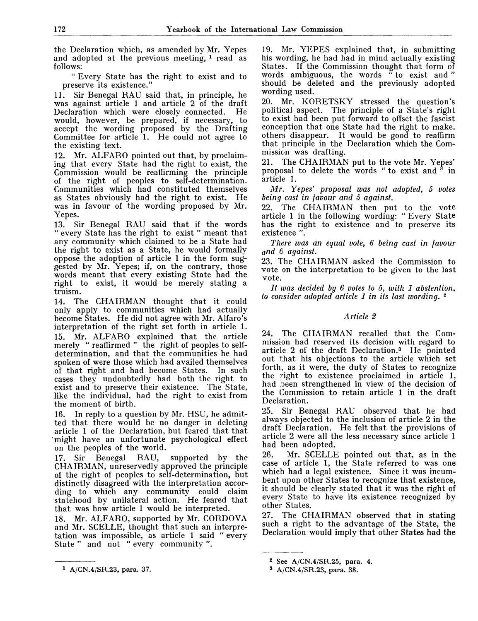the Declaration which, as amended by Mr. Yepes and adopted at the previous meeting,  $\frac{1}{2}$  read as follows:

" Every State has the right to exist and to preserve its existence."

11. Sir Benegal RAU said that, in principle, he was against article 1 and article 2 of the draft Declaration which were closely connected. He would, however, be prepared, if necessary, to accept the wording proposed by the Drafting Committee for article 1. He could not agree to the existing text.

12. Mr. ALFARO pointed out that, by proclaiming that every State had the right to exist, the Commission would be reaffirming the principle of the right of peoples to self-determination. Communities which had constituted themselves as States obviously had the right to exist. He was in favour of the wording proposed by Mr. Yepes.

13. Sir Benegal RAU said that if the words " every State has the right to exist " meant that any community which claimed to be a State had the right to exist as a State, he would formally oppose the adoption of article 1 in the form suggested by Mr. Yepes; if, on the contrary, those words meant that every existing State had the right to exist, it would be merely stating a truism.

14. The CHAIRMAN thought that it could only apply to communities which had actually become States. He did not agree with Mr. Alfaro's interpretation of the right set forth in article 1. 15. Mr. ALFARO explained that the article merely " reaffirmed " the right of peoples to selfdetermination, and that the communities he had spoken of were those which had availed themselves of that right and had become States. In such cases they undoubtedly had both the right to exist and to preserve their existence. The State, like the individual, had the right to exist from the moment of birth.

16. In reply to a question by Mr. HSU, he admitted that there would be no danger in deleting article 1 of the Declaration, but feared that that 'might have an unfortunate psychological effect on the peoples of the world.

17. Sir Benegal RAU, supported by the CHAIRMAN, unreservedly approved the principle of the right of peoples to self-determination, but distinctly disagreed with the interpretation according to which any community could claim statehood by unilateral action. He feared that that was how article 1 would be interpreted.

18. Mr. ALFARO, supported by Mr. CORDOVA and Mr. SCELLE, thought that such an interpretation was impossible, as article 1 said " every State " and not " every community".

19. Mr. YEPES explained that, in submitting his wording, he had had in mind actually existing States. If the Commission thought that form of words ambiguous, the words " to exist and" should be deleted and the previously adopted wording used.

20. Mr. KORETSKY stressed the question's political aspect. The principle of a State's right to exist had been put forward to offset the fascist conception that one State had the right to make, others disappear. It would be good to reaffirm that principle in the Declaration which the Commission was drafting.

21. The CHAIRMAN put to the vote Mr. Yepes' proposal to delete the words " to exist and " in article 1.

*Mr. Yepes' proposal was not adopted, 5 votes being cast in favour and 5 against.*

22. The CHAIRMAN then put to the vote article 1 in the following wording: " Every State has the right to existence and to preserve its existence ".

*There was an equal vote, 6 being cast in favour and 6 against.*

23. The CHAIRMAN asked the Commission to vote on the interpretation to be given to the last vote.

*It was decided by 6 votes to 5, with 1 abstention, to consider adopted article 1 in its last wording.*<sup>2</sup>

# *Article 2*

24. The CHAIRMAN recalled that the Commission had reserved its decision with regard to article 2 of the draft Declaration.<sup>3</sup> He pointed out that his objections to the article which set forth, as it were, the duty of States to recognize the right to existence proclaimed in article 1, had been strengthened in view of the decision of the Commission to retain article 1 in the draft Declaration.

25. Sir Benegal RAU observed that he had always objected to the inclusion of article 2 in the draft Declaration. He felt that the provisions of article 2 were all the less necessary since article 1 had been adopted.

26. Mr. SCELLE pointed out that, as in the case of article 1, the State referred to was one which had a legal existence. Since it was incumbent upon other States to recognize that existence, it should be clearly stated that it was the right of every State to have its existence recognized by other States.

27. The CHAIRMAN observed that in stating such a right to the advantage of the State, the Declaration would imply that other States had the

<sup>2</sup> See A/CN.4/SR.25, para. 4.

<sup>3</sup> A/CN.4/SR.23, para. 38.

<sup>1</sup> A/CN.4/SR.23, para. 37.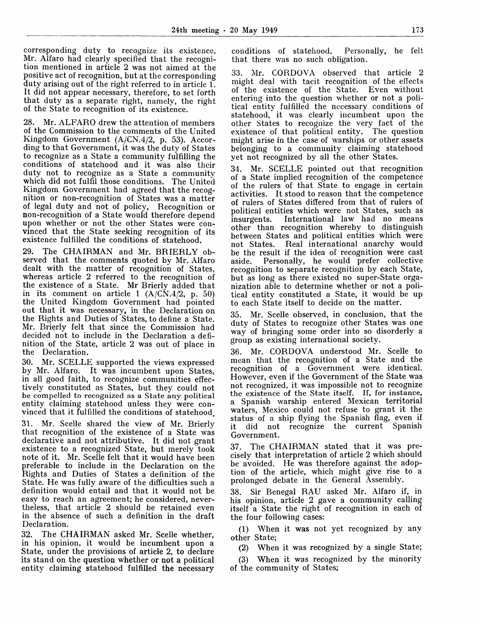corresponding duty to recognize its existence. Mr. Alfaro had clearly specified that the recognition mentioned in article 2 was not aimed at the positive act of recognition, but at the corresponding duty arising out of the right referred to in article 1. It did not appear necessary, therefore, to set forth that duty as a separate right, namely, the right of the State to recognition of its existence.

28. Mr. ALFARO drew the attention of members of the Commission to the comments of the United Kingdom Government (A/CN.4/2, p. 53). According to that Government, it was the duty of States to recognize as a State a community fulfilling the conditions of statehood and it was also their duty not to recognize as a State a community which did not fulfil those conditions. The United Kingdom Government had agreed that the recognition or non-recognition of States was a matter of legal duty and not of policy, Recognition or non-recognition of a State would therefore depend upon whether or not the other States were convinced that the State seeking recognition of its existence fulfilled the conditions of statehood.

29. The CHAIRMAN and Mr. BRIERLY observed that the comments quoted by Mr. Alfaro dealt with the matter of recognition of States, whereas article 2 referred to the recognition of the existence of a State. Mr Brierly added that in its comment on article 1  $(A/C\tilde{N}.4/2, p. 50)$ the United Kingdom Government had pointed out that it was necessary, in the Declaration on the Rights and Duties of States, to define a State. Mr. Brierly felt that since the Commission had decided not to include in the Declaration a definition of the State, article 2 was out of place in the Declaration.

30. Mr. SCELLE supported the views expressed by Mr. Alfaro. It was incumbent upon States, in all good faith, to recognize communities effectively constituted as States, but they could not be compelled to recognized as a State any political entity claiming statehood unless they were convinced that it fulfilled the conditions of statehood.

31. Mr. Scelle shared the view of Mr. Brierly that recognition of the existence of a State was declarative and not attributive. It did not grant existence to a recognized State, but merely took note of it. Mr. Scelle felt that it would have been preferable to include in the Declaration on the Rights and Duties of States a definition of the State. He was fully aware of the difficulties such a definition would entail and that it would not be easy to reach an agreement; he considered, nevertheless, that article 2 should be retained even in the absence of such a definition in the draft Declaration.

32. The CHAIRMAN asked Mr. Scelle whether, in his opinion, it would be incumbent upon a State, under the provisions of article 2, to declare its stand on the question whether or not a political entity claiming statehood fulfilled the necessary conditions of statehood. Personally, he felt that there was no such obligation.

33. Mr. CORDOVA observed that article 2 might deal with tacit recognition of the effects of the existence of the State. Even without entering into the question whether or not a political entity fulfilled the necessary conditions of statehood, it was clearly incumbent upon the other States to recognize the very fact of the existence of that political entity. The question might arise in the case of warships or other assets belonging to a community claiming statehood yet not recognized by all the other States.

34. Mr. SCELLE pointed out that recognition of a State implied recognition of the competence of the rulers of that State to engage in certain activities. It stood to reason that the competence of rulers of States differed from that of rulers of political entities which were not States, such as insurgents. International law had no means other than recognition whereby to distinguish between States and political entities which were not States. Real international anarchy would be the result if the idea of recognition were cast aside. Personally, he would prefer collective recognition to separate recognition by each State, but as long as there existed no super-State organization able to determine whether or not a political entity constituted a State, it would be up to each State itself to decide on the matter.

35. Mr. Scelle observed, in conclusion, that the duty of States to recognize other States was one way of bringing some order into so disorderly a group as existing international society.

36. Mr. CORDOVA understood Mr. Scelle to mean that the recognition of a State and the recognition of a Government were identical. However, even if the Government of the State was not recognized, it was impossible not to recognize the existence of the State itself. If, for instance, a Spanish warship entered Mexican territorial waters, Mexico could not refuse to grant it the status of a ship flying the Spanish flag, even if it did not recognize the current Spanish Government.

37. The CHAIRMAN stated that it was precisely that interpretation of article 2 which should be avoided. He was therefore against the adoption of the article, which might give rise to a prolonged debate in the General Assembly.

38. Sir Benegal RAU asked Mr. Alfaro if, in his opinion, article 2 gave a community calling itself a State the right of recognition in each of the four following cases:

(1) When it was not yet recognized by any other State;

(2) When it was recognized by a single State;

(3) When it was recognized by the minority of the community of States;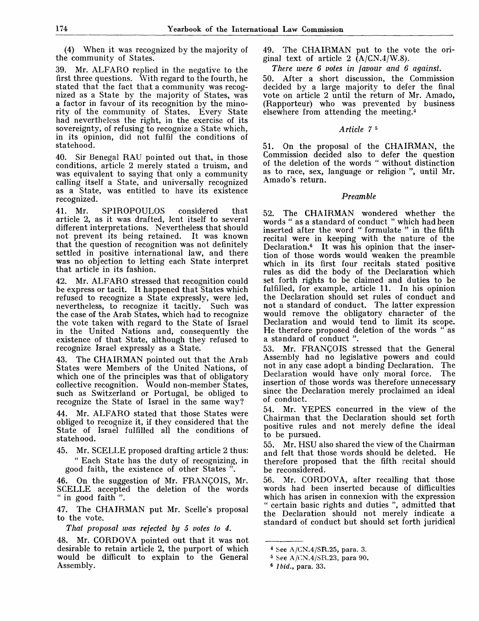(4) When it was recognized by the majority of the community of States.

39. Mr. ALFARO replied in the negative to the first three questions. With regard to the fourth, he stated that the fact that a community was recognized as a State by the majority of States, was a factor in favour of its recognition by the minority of the community of States. Every State had nevertheless the right, in the exercise of its sovereignty, of refusing to recognize a State which, in its opinion, did not fulfil the conditions of statehood.

40. Sir Benegal RAU pointed out that, in those conditions, article 2 merely stated a truism, and was equivalent to saying that only a community calling itself a State, and universally recognized as a State, was entitled to have its existence recognized.

41. Mr. SPIROPOULOS considered that article 2, as it was drafted, lent itself to several different interpretations. Nevertheless that should not prevent its being retained. It was known that the question of recognition was not definitely settled in positive international law, and there was no objection to letting each State interpret that article in its fashion.

42. Mr. ALFARO stressed that recognition could be express or tacit. It happened that States which refused to recognize a State expressly, were led, nevertheless, to recognize it tacitly. Such was the case of the Arab States, which had to recognize the vote taken with regard to the State of Israel in the United Nations and, consequently the existence of that State, although they refused to recognize Israel expressly as a State.

43. The CHAIRMAN pointed out that the Arab States were Members of the United Nations, of which one of the principles was that of obligatory collective recognition. Would non-member States, such as Switzerland or Portugal, be obliged to recognize the State of Israel in the same way?

44. Mr. ALFARO stated that those States were obliged to recognize it, if they considered that the State of Israel fulfilled all the conditions of statehood.

45. Mr. SCELLE proposed drafting article 2 thus: " Each State has the duty of recognizing, in good faith, the existence of other States ".

46. On the suggestion of Mr. FRANÇOIS, Mr. SCELLE accepted the deletion of the words " in good faith ".

47. The CHAIRMAN put Mr. Scelle's proposal to the vote.

*That proposal was rejected by 5 votes to 4.*

48. Mr. CORDOVA pointed out that it was not desirable to retain article 2, the purport of which would be difficult to explain to the General Assembly.

49. The CHAIRMAN put to the vote the original text of article 2  $(A/CN.4/W.8)$ .

*There were 6 votes in favour and 6 against.*

50. After a short discussion, the Commission decided by a large majority to defer the final vote on article 2 until the return of Mr. Amado, (Rapporteur) who was prevented by business elsewhere from attending the meeting.<sup>4</sup>

### *Article 7*<sup>5</sup>

51. On the proposal of the CHAIRMAN, the Commission decided also to defer the question of the deletion of the words " without distinction as to race, sex, language or religion ", until Mr. Amado's return.

## *Preamble*

52. The CHAIRMAN wondered whether the words " as a standard of conduct " which had been inserted after the word " formulate " in the fifth recital were in keeping with the nature of the Declaration.<sup>6</sup> It was his opinion that the insertion of those words would weaken the preamble which in its first four recitals stated positive rules as did the body of the Declaration which set forth rights to be claimed and duties to be fulfilled, for example, article 11. In his opinion the Declaration should set rules of conduct and not a standard of conduct. The latter expression would remove the obligatory character of the Declaration and would tend to limit its scope. He therefore proposed deletion of the words " as a standard of conduct ".

53. Mr. FRANQOIS stressed that the General Assembly had no legislative powers and could not in any case adopt a binding Declaration. The<br>Declaration would have only moral force. The Declaration would have only moral force. insertion of those words was therefore unnecessary since the Declaration merely proclaimed an ideal of conduct.

54. Mr. YEPES concurred in the view of the Chairman that the Declaration should set forth positive rules and not merely define the ideal to be pursued.

55. Mr. HSU also shared the view of the Chairman and felt that those words should be deleted. He therefore proposed that the fifth recital should be reconsidered.

56. Mr. CORDOVA, after recalling that those words had been inserted because of difficulties which has arisen in connexion with the expression " certain basic rights and duties ", admitted that the Declaration should not merely indicate a standard of conduct but should set forth juridical

<sup>4</sup> See A/CN.4/SR.25, para. 3.

<sup>5</sup> See A/CN.4/SR.23, para 90.

<sup>6</sup> Ibid., para. 33.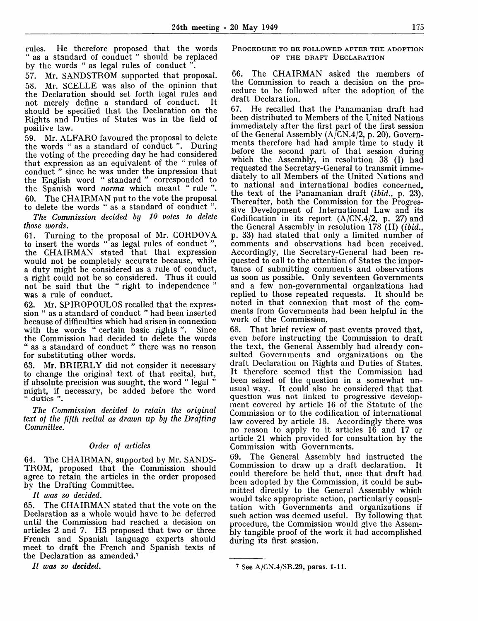rules. He therefore proposed that the words " as a standard of conduct " should be replaced by the words " as legal rules of conduct "

57. Mr. SANDSTROM supported that proposal. 58. Mr. SCELLE was also of the opinion that the Declaration should set forth legal rules and<br>not merely define a standard of conduct not merely define a standard of conduct. should be specified that the Declaration on the Rights and Duties of States was in the field of positive law.

59. Mr. ALFARO favoured the proposal to delete the words " as a standard of conduct ". During the voting of the preceding day he had considered that expression as an equivalent of the " rules of conduct " since he was under the impression that the English word " standard " corresponded to the Spanish word *norma* which meant " rule ". 60. The CHAIRMAN put to the vote the proposal to delete the words " as a standard of conduct ".

*The Commission decided by 10 votes to delete those words.*

61. Turning to the proposal of Mr. CORDOVA to insert the words " as legal rules of conduct ", the CHAIRMAN stated that that expression would not be completely accurate because, while a duty might be considered as a rule of conduct, a right could not be so considered. Thus it could not be said that the " right to independence " was a rule of conduct.

62. Mr. SPIROPOULOS recalled that the expression " as a standard of conduct " had been inserted because of difficulties which had arisen in connexion with the words " certain basic rights ". Since the Commission had decided to delete the words " as a standard of conduct " there was no reason for substituting other words.

63. Mr. BRIERLY did not consider it necessary to change the original text of that recital, but, if absolute precision was sought, the word " legal " might, if necessary, be added before the word " duties ".

*The Commission decided to retain the original text of the fifth recital as drawn up by the Drafting Committee.*

# *Order of articles*

64. The CHAIRMAN, supported by Mr. SANDS-TROM, proposed that the Commission should agree to retain the articles in the order proposed by the Drafting Committee.

// *was so decided.*

65. The CHAIRMAN stated that the vote on the Declaration as a whole would have to be deferred until the Commission had reached a decision on articles 2 and 7. H3 proposed that two or three French and Spanish language experts should meet to draft the French and Spanish texts of the Declaration as amended.<sup>7</sup>

*It was so decided.*

### PROCEDURE TO BE FOLLOWED AFTER THE ADOPTION OF THE DRAFT DECLARATION

66. The CHAIRMAN asked the members of the Commission to reach a decision on the procedure to be followed after the adoption of the draft Declaration.

67. He recalled that the Panamanian draft had been distributed to Members of the United Nations immediately after the first part of the first session of the General Assembly  $(A/CN.4/2, p. 20)$ . Governments therefore had had ample time to study it before the second part of that session during which the Assembly, in resolution 38 (I) had requested the Secretary-General to transmit immediately to all Members of the United Nations and to national and international bodies concerned, the text of the Panamanian draft *(ibid.,* p. 23). Thereafter, both the Commission for the Progressive Development of International Law and its Codification in its report  $(A/CN.4/2, p. 27)$  and the General Assembly in resolution 178 (II) *(ibid.,* p. 33) had stated that only a limited number of comments and observations had been received. Accordingly, the Secretary-General had been requested to call to the attention of States the importance of submitting comments and observations as soon as possible. Only seventeen Governments and a few non-governmental organizations had replied to those repeated requests. It should be noted in that connexion that most of the comments from Governments had been helpful in the work of the Commission.

68. That brief review of past events proved that, even before instructing the Commission to draft the text, the General Assembly had already consulted Governments and organizations on the draft Declaration on Rights and Duties of States. It therefore seemed that the Commission had been seized of the question in a somewhat unusual way. It could also be considered that that question was not linked to progressive development covered by article 16 of the Statute of the Commission or to the codification of international law covered by article 18. Accordingly there was no reason to apply to it articles 16 and 17 or article 21 which provided for consultation by the Commission with Governments.

69. The General Assembly had instructed the Commission to draw up a draft declaration. It could therefore be held that, once that draft had been adopted by the Commission, it could be submitted directly to the General Assembly which would take appropriate action, particularly consultation with Governments and organizations if such action was deemed useful. By following that procedure, the Commission would give the Assembly tangible proof of the work it had accomplished during its first session.

<sup>7</sup> See A/GN.4/SR.29, paras. 1-11.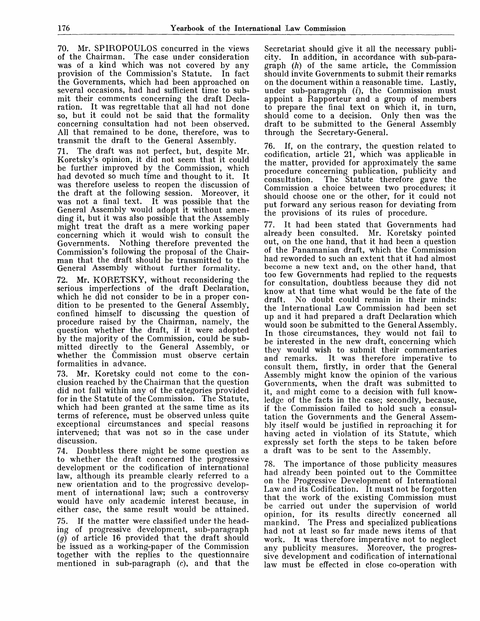70. Mr. SPIROPOULOS concurred in the views of the Chairman. The case under consideration was of a kind which was not covered by any provision of the Commission's Statute. In fact the Governments, which had been approached on several occasions, had had sufficient time to submit their comments concerning the draft Declaration. It was regrettable that all had not done so, but it could not be said that the formality concerning consultation had not been observed. All that remained to be done, therefore, was to transmit the draft to the General Assembly.

71. The draft was not perfect, but, despite Mr. Koretsky's opinion, it did not seem that it could be further improved by the Commission, which had devoted so much time and thought to it. It was therefore useless to reopen the discussion of the draft at the following session. Moreover, it was not a final text. It was possible that the General Assembly would adopt it without amending it, but it was also possible that the Assembly might treat the draft as a mere working paper concerning which it would wish to consult the Governments. Nothing therefore prevented the Commission's following the proposal of the Chairman that the draft should be transmitted to the General Assembly without further formality.

Mr. KORETSKY, without reconsidering the serious imperfections of the draft Declaration, which he did not consider to be in a proper condition to be presented to the General Assembly, confined himself to discussing the question of procedure raised by the Chairman, namely, the question whether the draft, if it were adopted by the majority of the Commission, could be submitted directly to the General Assembly, or whether the Commission must observe certain formalities in advance.

73. Mr. Koretsky could not come to the conclusion reached by the Chairman that the question did not fall within any of the categories provided for in the Statute of the Commission. The Statute, which had been granted at the same time as its terms of reference, must be observed unless quite exceptional circumstances and special reasons intervened; that was not so in the case under discussion.

74. Doubtless there might be some question as to whether the draft concerned the progressive development or the codification of international law, although its preamble clearly referred to a new orientation and to the progressive development of international law; such a controversy would have only academic interest because, in either case, the same result would be attained.

75. If the matter were classified under the heading of progressive development, sub-paragraph *(g)* of article 16 provided that the draft should be issued as a working-paper of the Commission together with the replies to the questionnaire mentioned in sub-paragraph  $(c)$ , and that the

Secretariat should give it all the necessary publicity. In addition, in accordance with sub-paragraph *(h)* of the same article, the Commission should invite Governments to submit their remarks on the document within a reasonable time. Lastly, under sub-paragraph *(i),* the Commission must appoint a Rapporteur and a group of members to prepare the final text on which it, in turn, should come to a decision. Only then was the draft to be submitted to the General Assembly through the Secretary-General.

76. If, on the contrary, the question related to codification, article 21, which was applicable in the matter, provided for approximately the same procedure concerning publication, publicity and consultation. The Statute therefore gave the Commission a choice between two procedures; it should choose one or the other, for it could not put forward any serious reason for deviating from the provisions of its rules of procedure.

77. It had been stated that Governments had already been consulted. Mr. Koretsky pointed out, on the one hand, that it had been a question of the Panamanian draft, which the Commission had reworded to such an extent that it had almost become a new text and, on the other hand, that too few Governments had replied to the requests for consultation, doubtless because they did not know at that time what would be the fate of the No doubt could remain in their minds: the International Law Commission had been set up and it had prepared a draft Declaration which would soon be submitted to the General Assembly. In those circumstances, they would not fail to be interested in the new draft, concerning which they would wish to submit their commentaries and remarks. It was therefore imperative to consult them, firstly, in order that the General Assembly might know the opinion of the various Governments, when the draft was submitted to it, and might come to a decision with full knowledge of the facts in the case; secondly, because, if the Commission failed to hold such a consultation the Governments and the General Assembly itself would be justified in reproaching it for having acted in violation of its Statute, which expressly set forth the steps to be taken before a draft was to be sent to the Assembly.

The importance of those publicity measures had already been pointed out to the Committee on the Progressive Development of International Law and its Codification. It must not be forgotten that the w r ork of the existing Commission must be carried out under the supervision of world opinion, for its results directly concerned all mankind. The Press and specialized publications had not at least so far made news items of that work. It was therefore imperative not to neglect any publicity measures. Moreover, the progressive development and codification of international law must be effected in close co-operation with